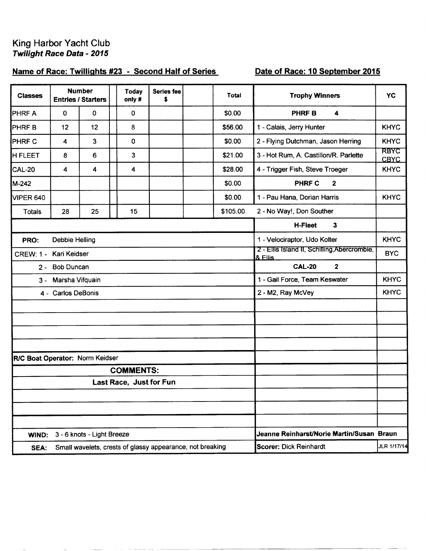## King Harbor Yacht Club **Twilight Race Data - 2015**

## Name of Race: Twillights #23 - Second Half of Series

## Date of Race: 10 September 2015

| <b>Classes</b>                  |                       | <b>Number</b><br><b>Entries / Starters</b> | <b>Today</b><br>only #                                    | <b>Series fee</b><br>\$ | <b>Total</b> | <b>Trophy Winners</b>                                   | YC                         |
|---------------------------------|-----------------------|--------------------------------------------|-----------------------------------------------------------|-------------------------|--------------|---------------------------------------------------------|----------------------------|
| <b>PHRF A</b>                   | $\mathbf 0$           | 0                                          | $\mathbf 0$                                               |                         | \$0.00       | $\blacktriangleleft$<br><b>PHRFB</b>                    |                            |
| <b>PHRFB</b>                    | 12                    | 12                                         | 8                                                         |                         | \$56.00      | 1 - Calais, Jerry Hunter                                | <b>KHYC</b>                |
| PHRF C                          | 4                     | 3                                          | 0                                                         |                         | \$0.00       | 2 - Flying Dutchman, Jason Herring                      | <b>KHYC</b>                |
| H FLEET                         | 8                     | 6                                          | $\mathbf{3}$                                              |                         | \$21.00      | 3 - Hot Rum, A. Castillon/R. Parlette                   | <b>RBYC</b><br><b>CBYC</b> |
| <b>CAL-20</b>                   | 4                     | 4                                          | 4                                                         |                         | \$28.00      | 4 - Trigger Fish, Steve Troeger                         | <b>KHYC</b>                |
| M-242                           |                       |                                            |                                                           |                         | \$0.00       | PHRF C<br>$\mathbf 2$                                   |                            |
| <b>VIPER 640</b>                |                       |                                            |                                                           |                         | \$0.00       | 1 - Pau Hana, Dorian Harris                             | <b>KHYC</b>                |
| Totals                          | 28                    | 25                                         | 15                                                        |                         | \$105.00     | 2 - No Way!, Don Souther                                |                            |
|                                 |                       |                                            |                                                           |                         |              | <b>H-Fleet</b><br>3                                     |                            |
| PRO:                            | <b>Debbie Helling</b> |                                            |                                                           |                         |              | 1 - Velociraptor, Udo Kolter                            | <b>KHYC</b>                |
| <b>CREW: 1 -</b>                | Kari Keidser          |                                            |                                                           |                         |              | 2 - Ellis Island II, Schilling, Abercrombie,<br>& Ellis | <b>BYC</b>                 |
| $2 -$                           | <b>Bob Duncan</b>     |                                            |                                                           |                         |              | <b>CAL-20</b><br>$\mathbf{2}$                           |                            |
| $3 -$                           | Marsha Vifquain       |                                            |                                                           |                         |              | 1 - Gail Force, Team Keswater                           | <b>KHYC</b>                |
|                                 | 4 - Carlos DeBonis    |                                            |                                                           |                         |              | 2 - M2, Ray McVey                                       | <b>KHYC</b>                |
|                                 |                       |                                            |                                                           |                         |              |                                                         |                            |
|                                 |                       |                                            |                                                           |                         |              |                                                         |                            |
|                                 |                       |                                            |                                                           |                         |              |                                                         |                            |
|                                 |                       |                                            |                                                           |                         |              |                                                         |                            |
| R/C Boat Operator: Norm Keidser |                       |                                            | <b>COMMENTS:</b>                                          |                         |              |                                                         |                            |
|                                 |                       |                                            | Last Race, Just for Fun                                   |                         |              |                                                         |                            |
|                                 |                       |                                            |                                                           |                         |              |                                                         |                            |
|                                 |                       |                                            |                                                           |                         |              |                                                         |                            |
|                                 |                       |                                            |                                                           |                         |              |                                                         |                            |
| WIND:                           |                       | 3 - 6 knots - Light Breeze                 |                                                           |                         |              | Jeanne Reinharst/Norie Martin/Susan Braun               |                            |
| SEA:                            |                       |                                            | Small wavelets, crests of glassy appearance, not breaking |                         |              | <b>Scorer: Dick Reinhardt</b>                           | JLR 1/17/14                |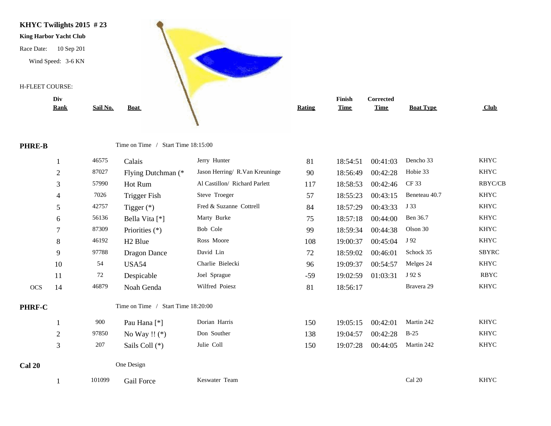

|     | <b>Rating</b> | <b>Finish</b><br><b>Time</b> | <b>Corrected</b><br><b>Time</b> | <b>Boat Type</b> | Club           |
|-----|---------------|------------------------------|---------------------------------|------------------|----------------|
|     |               |                              |                                 |                  |                |
|     | 81            | 18:54:51                     | 00:41:03                        | Dencho 33        | <b>KHYC</b>    |
| ıge | 90            | 18:56:49                     | 00:42:28                        | Hobie 33         | <b>KHYC</b>    |
|     | 117           | 18:58:53                     | 00:42:46                        | CF 33            | <b>RBYC/CE</b> |

**PHRE-B** Time on Time / Start Time 18:15:00

|               |                | 46575  | Calais                                | Jerry Hunter                   | 81    | 18:54:51 | 00:41:03 | Dencho 33     | KHYC        |
|---------------|----------------|--------|---------------------------------------|--------------------------------|-------|----------|----------|---------------|-------------|
|               | $\mathfrak{2}$ | 87027  | Flying Dutchman (*                    | Jason Herring/ R.Van Kreuninge | 90    | 18:56:49 | 00:42:28 | Hobie 33      | <b>KHYC</b> |
|               | 3              | 57990  | Hot Rum                               | Al Castillon/ Richard Parlett  | 117   | 18:58:53 | 00:42:46 | CF 33         | RBYC/CB     |
|               | 4              | 7026   | Trigger Fish                          | Steve Troeger                  | 57    | 18:55:23 | 00:43:15 | Beneteau 40.7 | KHYC        |
|               | 5              | 42757  | Tigger $(*)$                          | Fred & Suzanne Cottrell        | 84    | 18:57:29 | 00:43:33 | J 33          | <b>KHYC</b> |
|               | 6              | 56136  | Bella Vita [*]                        | Marty Burke                    | 75    | 18:57:18 | 00:44:00 | Ben 36.7      | <b>KHYC</b> |
|               | 7              | 87309  | Priorities $(*)$                      | Bob Cole                       | 99    | 18:59:34 | 00:44:38 | Olson 30      | <b>KHYC</b> |
|               | 8              | 46192  | H <sub>2</sub> Blue                   | Ross Moore                     | 108   | 19:00:37 | 00:45:04 | J 92          | <b>KHYC</b> |
|               | 9              | 97788  | <b>Dragon Dance</b>                   | David Lin                      | 72    | 18:59:02 | 00:46:01 | Schock 35     | SBYRC       |
|               | 10             | 54     | USA54                                 | Charlie Bielecki               | 96    | 19:09:37 | 00:54:57 | Melges 24     | <b>KHYC</b> |
|               | 11             | 72     | Despicable                            | Joel Sprague                   | $-59$ | 19:02:59 | 01:03:31 | J 92 S        | <b>RBYC</b> |
| OCS           | 14             | 46879  | Noah Genda                            | Wilfred Poiesz                 | 81    | 18:56:17 |          | Bravera 29    | <b>KHYC</b> |
| <b>PHRF-C</b> |                |        | Time on Time /<br>Start Time 18:20:00 |                                |       |          |          |               |             |
|               |                | 900    | Pau Hana <sup>[*]</sup>               | Dorian Harris                  | 150   | 19:05:15 | 00:42:01 | Martin 242    | <b>KHYC</b> |
|               | $\overline{2}$ | 97850  | No Way !! $(*)$                       | Don Souther                    | 138   | 19:04:57 | 00:42:28 | $B-25$        | <b>KHYC</b> |
|               | 3              | 207    | Sails Coll (*)                        | Julie Coll                     | 150   | 19:07:28 | 00:44:05 | Martin 242    | KHYC        |
| <b>Cal 20</b> |                |        | One Design                            |                                |       |          |          |               |             |
|               |                | 101099 | Gail Force                            | Keswater Team                  |       |          |          | Cal 20        | <b>KHYC</b> |